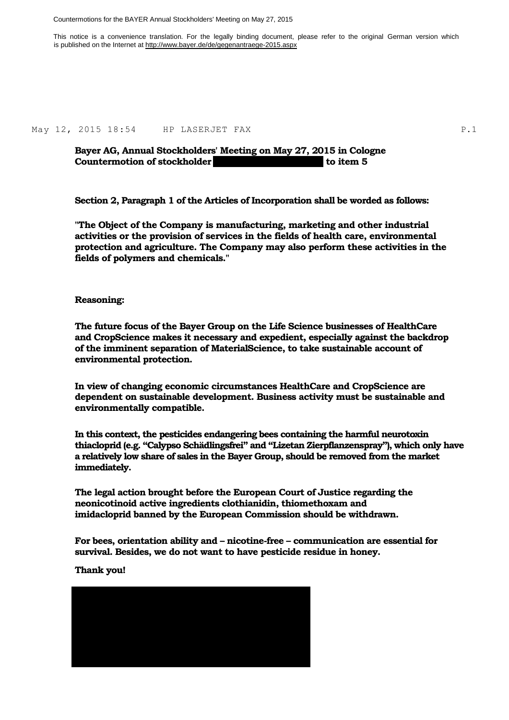Countermotions for the BAYER Annual Stockholders' Meeting on May 27, 2015

This notice is a convenience translation. For the legally binding document, please refer to the original German version which is published on the Internet at http://www.bayer.de/de/gegenantraege-2015.aspx

May 12, 2015 18:54 HP LASERJET FAX P.1

**Bayer AG, Annual Stockholders' Meeting on May 27, 2015 in Cologne Countermotion of stockholder Michael Wolff (Neustadt)** to item 5

**Section 2, Paragraph 1 of the Articles of Incorporation shall be worded as follows:** 

**"The Object of the Company is manufacturing, marketing and other industrial activities or the provision of services in the fields of health care, environmental protection and agriculture. The Company may also perform these activities in the fields of polymers and chemicals."** 

#### **Reasoning:**

**The future focus of the Bayer Group on the Life Science businesses of HealthCare and CropScience makes it necessary and expedient, especially against the backdrop of the imminent separation of MaterialScience, to take sustainable account of environmental protection.** 

**In view of changing economic circumstances HealthCare and CropScience are dependent on sustainable development. Business activity must be sustainable and environmentally compatible.** 

**In this context, the pesticides endangering bees containing the harmful neurotoxin thiacloprid (e.g. "Calypso Schädlingsfrei" and "Lizetan Zierpflanzenspray"), which only have a relatively low share of sales in the Bayer Group, should be removed from the market immediately.** 

**The legal action brought before the European Court of Justice regarding the neonicotinoid active ingredients clothianidin, thiomethoxam and imidacloprid banned by the European Commission should be withdrawn.** 

**For bees, orientation ability and – nicotine-free – communication are essential for survival. Besides, we do not want to have pesticide residue in honey.** 

**Thank you!**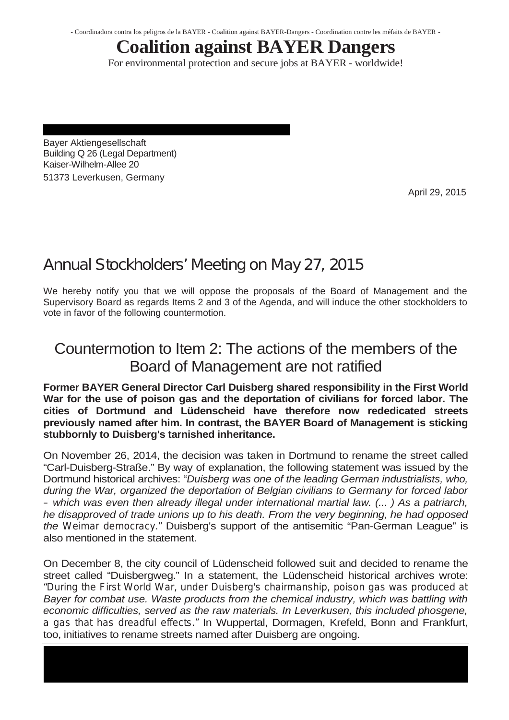- Coordinadora contra los peligros de la BAYER - Coalition against BAYER-Dangers - Coordination contre les méfaits de BAYER -

# **Coalition against BAYER Dangers**

For environmental protection and secure jobs at BAYER - worldwide!

Bayer Aktiengesellschaft Building Q 26 (Legal Department) Kaiser-Wilhelm-Allee 20 51373 Leverkusen, Germany

April 29, 2015

# **Annual Stockholders' Meeting on May 27, 2015**

We hereby notify you that we will oppose the proposals of the Board of Management and the Supervisory Board as regards Items 2 and 3 of the Agenda, and will induce the other stockholders to vote in favor of the following countermotion.

## Countermotion to Item 2: The actions of the members of the Board of Management are not ratified

**Former BAYER General Director Carl Duisberg shared responsibility in the First World War for the use of poison gas and the deportation of civilians for forced labor. The cities of Dortmund and Lüdenscheid have therefore now rededicated streets previously named after him. In contrast, the BAYER Board of Management is sticking stubbornly to Duisberg's tarnished inheritance.** 

On November 26, 2014, the decision was taken in Dortmund to rename the street called "Carl-Duisberg-Straße." By way of explanation, the following statement was issued by the Dortmund historical archives: "*Duisberg was one of the leading German industrialists, who, during the War, organized the deportation of Belgian civilians to Germany for forced labor – which was even then already illegal under international martial law. (... ) As a patriarch, he disapproved of trade unions up to his death. From the very beginning, he had opposed the Weimar democracy."* Duisberg's support of the antisemitic "Pan-German League" is also mentioned in the statement.

On December 8, the city council of Lüdenscheid followed suit and decided to rename the street called "Duisbergweg." In a statement, the Lüdenscheid historical archives wrote: *"During the First World War, under Duisberg's chairmanship, poison gas was produced at Bayer for combat use. Waste products from the chemical industry, which was battling with*  economic difficulties, served as the raw materials. In Leverkusen, this included phosgene, *a gas that has dreadful effects."* In Wuppertal, Dormagen, Krefeld, Bonn and Frankfurt, too, initiatives to rename streets named after Duisberg are ongoing.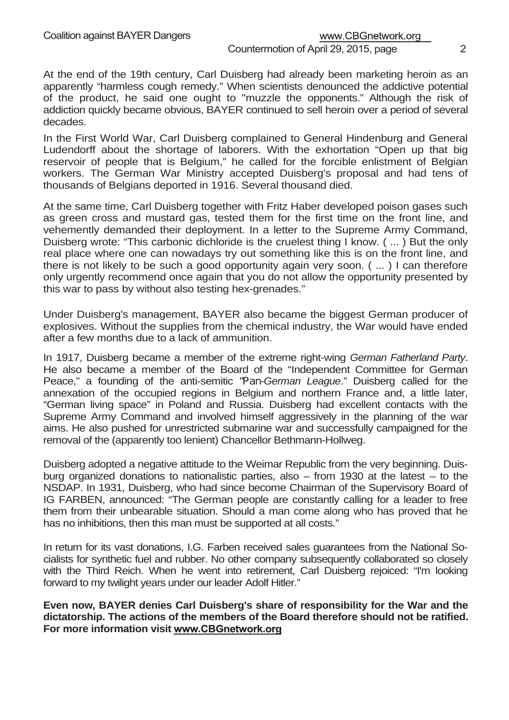### www.CBGnetwork.org

#### Countermotion of April 29, 2015, page 2

At the end of the 19th century, Carl Duisberg had already been marketing heroin as an apparently "harmless cough remedy." When scientists denounced the addictive potential of the product, he said one ought to "muzzle the opponents." Although the risk of addiction quickly became obvious, BAYER continued to sell heroin over a period of several decades.

In the First World War, Carl Duisberg complained to General Hindenburg and General Ludendorff about the shortage of laborers. With the exhortation "Open up that big reservoir of people that is Belgium," he called for the forcible enlistment of Belgian workers. The German War Ministry accepted Duisberg's proposal and had tens of thousands of Belgians deported in 1916. Several thousand died.

At the same time, Carl Duisberg together with Fritz Haber developed poison gases such as green cross and mustard gas, tested them for the first time on the front line, and vehemently demanded their deployment. In a letter to the Supreme Army Command, Duisberg wrote: "This carbonic dichloride is the cruelest thing I know. ( ... ) But the only real place where one can nowadays try out something like this is on the front line, and there is not likely to be such a good opportunity again very soon. ( ... ) I can therefore only urgently recommend once again that you do not allow the opportunity presented by this war to pass by without also testing hex-grenades."

Under Duisberg's management, BAYER also became the biggest German producer of explosives. Without the supplies from the chemical industry, the War would have ended after a few months due to a lack of ammunition.

In 1917, Duisberg became a member of the extreme right-wing *German Fatherland Party*. He also became a member of the Board of the "Independent Committee for German Peace," a founding of the anti-semitic *"Pan-German League*." Duisberg called for the annexation of the occupied regions in Belgium and northern France and, a little later, "German living space" in Poland and Russia. Duisberg had excellent contacts with the Supreme Army Command and involved himself aggressively in the planning of the war aims. He also pushed for unrestricted submarine war and successfully campaigned for the removal of the (apparently too lenient) Chancellor Bethmann-Hollweg.

Duisberg adopted a negative attitude to the Weimar Republic from the very beginning. Duisburg organized donations to nationalistic parties, also – from 1930 at the latest – to the NSDAP. In 1931, Duisberg, who had since become Chairman of the Supervisory Board of IG FARBEN, announced: "The German people are constantly calling for a leader to free them from their unbearable situation. Should a man come along who has proved that he has no inhibitions, then this man must be supported at all costs."

In return for its vast donations, I.G. Farben received sales guarantees from the National Socialists for synthetic fuel and rubber. No other company subsequently collaborated so closely with the Third Reich. When he went into retirement, Carl Duisberg rejoiced: "I'm looking forward to my twilight years under our leader Adolf Hitler."

**Even now, BAYER denies Carl Duisberg's share of responsibility for the War and the dictatorship. The actions of the members of the Board therefore should not be ratified. For more information visit www.CBGnetwork.org**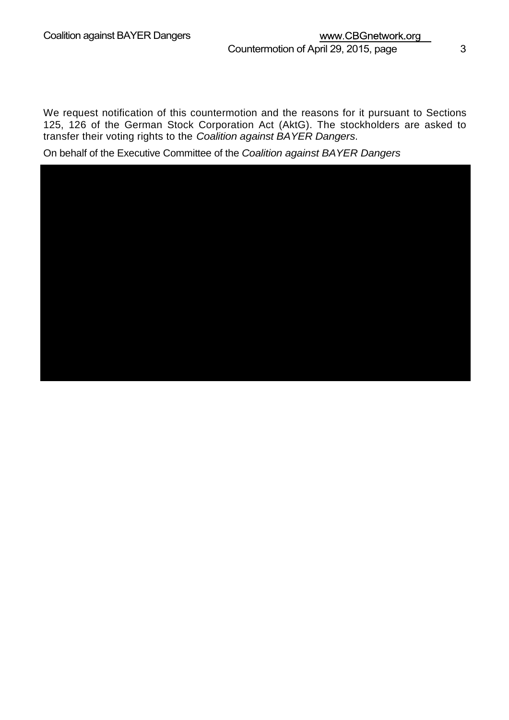We request notification of this countermotion and the reasons for it pursuant to Sections 125, 126 of the German Stock Corporation Act (AktG). The stockholders are asked to transfer their voting rights to the *Coalition against BAYER Dangers*.

On behalf of the Executive Committee of the *Coalition against BAYER Dangers*

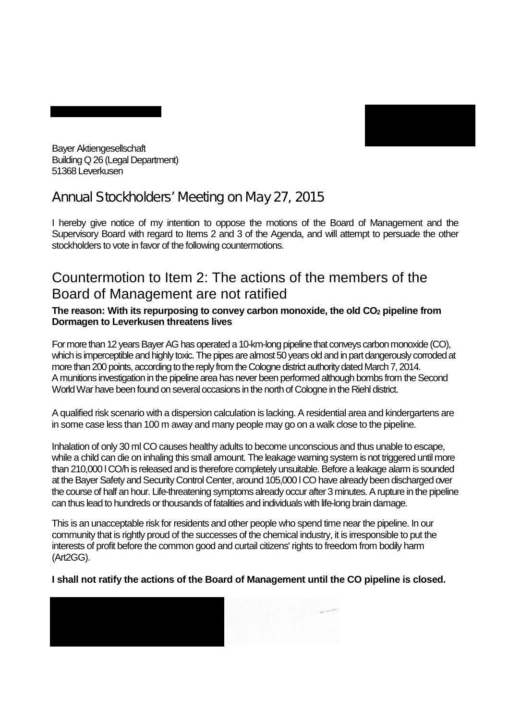

Bayer Aktiengesellschaft Building Q 26 (Legal Department) 51368 Leverkusen

### **Annual Stockholders' Meeting on May 27, 2015**

I hereby give notice of my intention to oppose the motions of the Board of Management and the Supervisory Board with regard to Items 2 and 3 of the Agenda, and will attempt to persuade the other stockholders to vote in favor of the following countermotions.

### Countermotion to Item 2: The actions of the members of the Board of Management are not ratified

#### **The reason: With its repurposing to convey carbon monoxide, the old CO2 pipeline from Dormagen to Leverkusen threatens lives**

For more than 12 years Bayer AG has operated a 10-km-long pipeline that conveys carbon monoxide (CO), which is imperceptible and highly toxic. The pipes are almost 50 years old and in part dangerously corroded at more than 200 points, according to the reply from the Cologne district authority dated March 7, 2014. A munitions investigation in the pipeline area has never been performed although bombs from the Second World War have been found on several occasions in the north of Cologne in the Riehl district.

A qualified risk scenario with a dispersion calculation is lacking. A residential area and kindergartens are in some case less than 100 m away and many people may go on a walk close to the pipeline.

Inhalation of only 30 ml CO causes healthy adults to become unconscious and thus unable to escape, while a child can die on inhaling this small amount. The leakage warning system is not triggered until more than 210,000 l CO/h is released and is therefore completely unsuitable. Before a leakage alarm is sounded at the Bayer Safety and Security Control Center, around 105,000 l CO have already been discharged over the course of half an hour. Life-threatening symptoms already occur after 3 minutes. A rupture in the pipeline can thus lead to hundreds or thousands of fatalities and individuals with life-long brain damage.

This is an unacceptable risk for residents and other people who spend time near the pipeline. In our community that is rightly proud of the successes of the chemical industry, it is irresponsible to put the interests of profit before the common good and curtail citizens' rights to freedom from bodily harm (Art2GG).

**I shall not ratify the actions of the Board of Management until the CO pipeline is closed.** 

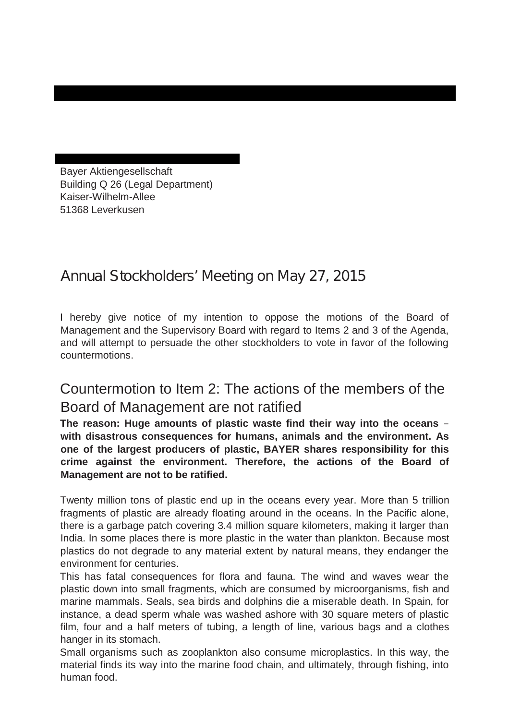Bayer Aktiengesellschaft Building Q 26 (Legal Department) Kaiser-Wilhelm-Allee 51368 Leverkusen

## **Annual Stockholders' Meeting on May 27, 2015**

I hereby give notice of my intention to oppose the motions of the Board of Management and the Supervisory Board with regard to Items 2 and 3 of the Agenda, and will attempt to persuade the other stockholders to vote in favor of the following countermotions.

**Christiane Schnura, Schweidnitzer Str. 41, 40231 Düsseldorf** 

### Countermotion to Item 2: The actions of the members of the Board of Management are not ratified

**The reason: Huge amounts of plastic waste find their way into the oceans – with disastrous consequences for humans, animals and the environment. As one of the largest producers of plastic, BAYER shares responsibility for this crime against the environment. Therefore, the actions of the Board of Management are not to be ratified.** 

Twenty million tons of plastic end up in the oceans every year. More than 5 trillion fragments of plastic are already floating around in the oceans. In the Pacific alone, there is a garbage patch covering 3.4 million square kilometers, making it larger than India. In some places there is more plastic in the water than plankton. Because most plastics do not degrade to any material extent by natural means, they endanger the environment for centuries.

This has fatal consequences for flora and fauna. The wind and waves wear the plastic down into small fragments, which are consumed by microorganisms, fish and marine mammals. Seals, sea birds and dolphins die a miserable death. In Spain, for instance, a dead sperm whale was washed ashore with 30 square meters of plastic film, four and a half meters of tubing, a length of line, various bags and a clothes hanger in its stomach.

Small organisms such as zooplankton also consume microplastics. In this way, the material finds its way into the marine food chain, and ultimately, through fishing, into human food.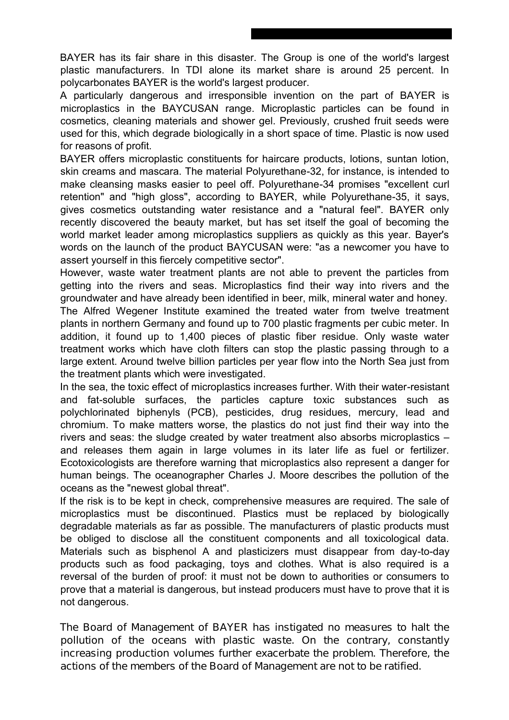BAYER has its fair share in this disaster. The Group is one of the world's largest plastic manufacturers. In TDI alone its market share is around 25 percent. In polycarbonates BAYER is the world's largest producer.

A particularly dangerous and irresponsible invention on the part of BAYER is microplastics in the BAYCUSAN range. Microplastic particles can be found in cosmetics, cleaning materials and shower gel. Previously, crushed fruit seeds were used for this, which degrade biologically in a short space of time. Plastic is now used for reasons of profit.

BAYER offers microplastic constituents for haircare products, lotions, suntan lotion, skin creams and mascara. The material Polyurethane-32, for instance, is intended to make cleansing masks easier to peel off. Polyurethane-34 promises "excellent curl retention" and "high gloss", according to BAYER, while Polyurethane-35, it says, gives cosmetics outstanding water resistance and a "natural feel". BAYER only recently discovered the beauty market, but has set itself the goal of becoming the world market leader among microplastics suppliers as quickly as this year. Bayer's words on the launch of the product BAYCUSAN were: "as a newcomer you have to assert yourself in this fiercely competitive sector".

However, waste water treatment plants are not able to prevent the particles from getting into the rivers and seas. Microplastics find their way into rivers and the groundwater and have already been identified in beer, milk, mineral water and honey. The Alfred Wegener Institute examined the treated water from twelve treatment plants in northern Germany and found up to 700 plastic fragments per cubic meter. In addition, it found up to 1,400 pieces of plastic fiber residue. Only waste water treatment works which have cloth filters can stop the plastic passing through to a large extent. Around twelve billion particles per year flow into the North Sea just from the treatment plants which were investigated.

In the sea, the toxic effect of microplastics increases further. With their water-resistant and fat-soluble surfaces, the particles capture toxic substances such as polychlorinated biphenyls (PCB), pesticides, drug residues, mercury, lead and chromium. To make matters worse, the plastics do not just find their way into the rivers and seas: the sludge created by water treatment also absorbs microplastics – and releases them again in large volumes in its later life as fuel or fertilizer. Ecotoxicologists are therefore warning that microplastics also represent a danger for human beings. The oceanographer Charles J. Moore describes the pollution of the oceans as the "newest global threat".

If the risk is to be kept in check, comprehensive measures are required. The sale of microplastics must be discontinued. Plastics must be replaced by biologically degradable materials as far as possible. The manufacturers of plastic products must be obliged to disclose all the constituent components and all toxicological data. Materials such as bisphenol A and plasticizers must disappear from day-to-day products such as food packaging, toys and clothes. What is also required is a reversal of the burden of proof: it must not be down to authorities or consumers to prove that a material is dangerous, but instead producers must have to prove that it is not dangerous.

**The Board of Management of BAYER has instigated no measures to halt the pollution of the oceans with plastic waste. On the contrary, constantly increasing production volumes further exacerbate the problem. Therefore, the actions of the members of the Board of Management are not to be ratified.**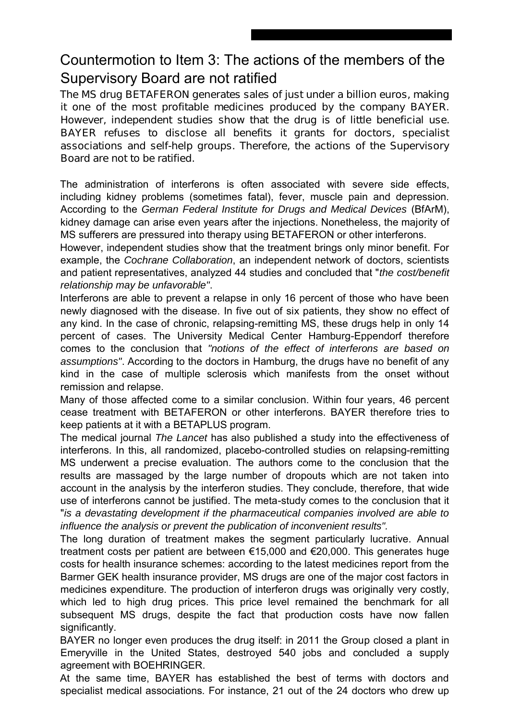### Countermotion to Item 3: The actions of the members of the Supervisory Board are not ratified

**The MS drug BETAFERON generates sales of just under a billion euros, making it one of the most profitable medicines produced by the company BAYER. However, independent studies show that the drug is of little beneficial use. BAYER refuses to disclose all benefits it grants for doctors, specialist associations and self-help groups. Therefore, the actions of the Supervisory Board are not to be ratified.** 

The administration of interferons is often associated with severe side effects, including kidney problems (sometimes fatal), fever, muscle pain and depression. According to the *German Federal Institute for Drugs and Medical Devices* (BfArM), kidney damage can arise even years after the injections. Nonetheless, the majority of MS sufferers are pressured into therapy using BETAFERON or other interferons.

However, independent studies show that the treatment brings only minor benefit. For example, the *Cochrane Collaboration*, an independent network of doctors, scientists and patient representatives, analyzed 44 studies and concluded that "*the cost/benefit relationship may be unfavorable"*.

Interferons are able to prevent a relapse in only 16 percent of those who have been newly diagnosed with the disease. In five out of six patients, they show no effect of any kind. In the case of chronic, relapsing-remitting MS, these drugs help in only 14 percent of cases. The University Medical Center Hamburg-Eppendorf therefore comes to the conclusion that *"notions of the effect of interferons are based on assumptions"*. According to the doctors in Hamburg, the drugs have no benefit of any kind in the case of multiple sclerosis which manifests from the onset without remission and relapse.

Many of those affected come to a similar conclusion. Within four years, 46 percent cease treatment with BETAFERON or other interferons. BAYER therefore tries to keep patients at it with a BETAPLUS program.

The medical journal *The Lancet* has also published a study into the effectiveness of interferons. In this, all randomized, placebo-controlled studies on relapsing-remitting MS underwent a precise evaluation. The authors come to the conclusion that the results are massaged by the large number of dropouts which are not taken into account in the analysis by the interferon studies. They conclude, therefore, that wide use of interferons cannot be justified. The meta-study comes to the conclusion that it "*is a devastating development if the pharmaceutical companies involved are able to influence the analysis or prevent the publication of inconvenient results".* 

The long duration of treatment makes the segment particularly lucrative. Annual treatment costs per patient are between €15,000 and €20,000. This generates huge costs for health insurance schemes: according to the latest medicines report from the Barmer GEK health insurance provider, MS drugs are one of the major cost factors in medicines expenditure. The production of interferon drugs was originally very costly, which led to high drug prices. This price level remained the benchmark for all subsequent MS drugs, despite the fact that production costs have now fallen significantly.

BAYER no longer even produces the drug itself: in 2011 the Group closed a plant in Emeryville in the United States, destroyed 540 jobs and concluded a supply agreement with BOEHRINGER.

At the same time, BAYER has established the best of terms with doctors and specialist medical associations. For instance, 21 out of the 24 doctors who drew up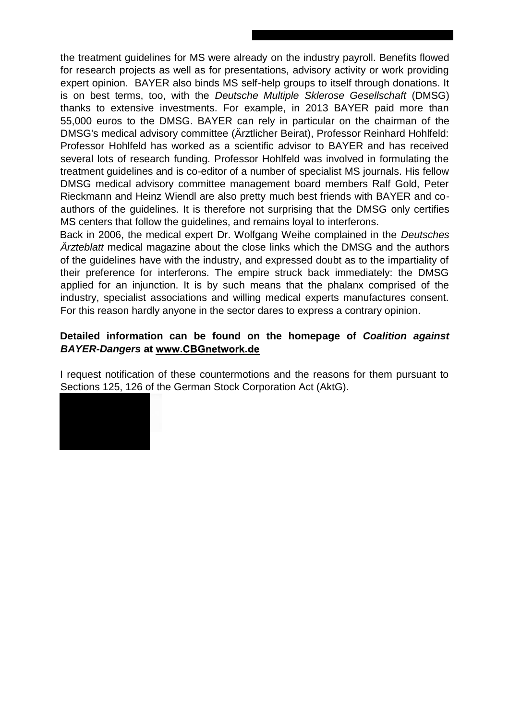the treatment guidelines for MS were already on the industry payroll. Benefits flowed for research projects as well as for presentations, advisory activity or work providing expert opinion. BAYER also binds MS self-help groups to itself through donations. It is on best terms, too, with the *Deutsche Multiple Sklerose Gesellschaft* (DMSG) thanks to extensive investments. For example, in 2013 BAYER paid more than 55,000 euros to the DMSG. BAYER can rely in particular on the chairman of the DMSG's medical advisory committee (Ärztlicher Beirat), Professor Reinhard Hohlfeld: Professor Hohlfeld has worked as a scientific advisor to BAYER and has received several lots of research funding. Professor Hohlfeld was involved in formulating the treatment guidelines and is co-editor of a number of specialist MS journals. His fellow DMSG medical advisory committee management board members Ralf Gold, Peter Rieckmann and Heinz Wiendl are also pretty much best friends with BAYER and coauthors of the guidelines. It is therefore not surprising that the DMSG only certifies MS centers that follow the guidelines, and remains loyal to interferons.

Back in 2006, the medical expert Dr. Wolfgang Weihe complained in the *Deutsches Ärzteblatt* medical magazine about the close links which the DMSG and the authors of the guidelines have with the industry, and expressed doubt as to the impartiality of their preference for interferons. The empire struck back immediately: the DMSG applied for an injunction. It is by such means that the phalanx comprised of the industry, specialist associations and willing medical experts manufactures consent. For this reason hardly anyone in the sector dares to express a contrary opinion.

### **Detailed information can be found on the homepage of** *Coalition against*  **BAYER-Dangers at www.CBGnetwork.de**

I request notification of these countermotions and the reasons for them pursuant to Sections 125, 126 of the German Stock Corporation Act (AktG).

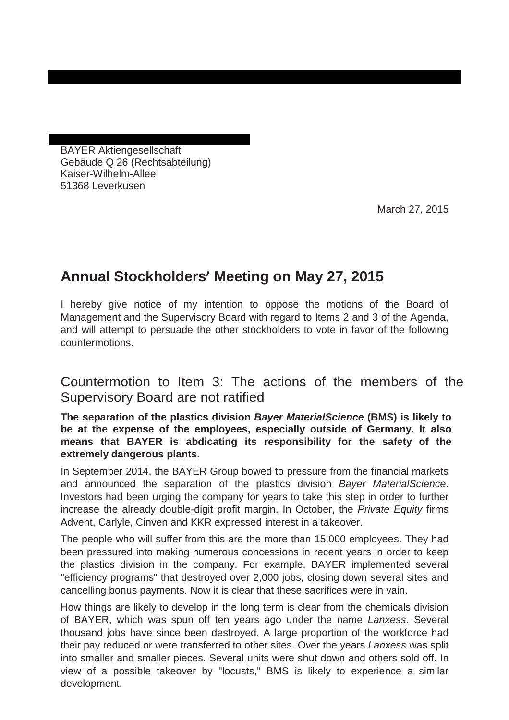BAYER Aktiengesellschaft Gebäude Q 26 (Rechtsabteilung) Kaiser-Wilhelm-Allee 51368 Leverkusen

March 27, 2015

### **Annual Stockholders' Meeting on May 27, 2015**

I hereby give notice of my intention to oppose the motions of the Board of Management and the Supervisory Board with regard to Items 2 and 3 of the Agenda, and will attempt to persuade the other stockholders to vote in favor of the following countermotions.

**Axel Köhler-Schnura, Schweidnitzer Str. 41, 40231 Düsseldorf**

Countermotion to Item 3: The actions of the members of the Supervisory Board are not ratified

**The separation of the plastics division** *Bayer MaterialScience* **(BMS) is likely to be at the expense of the employees, especially outside of Germany. It also means that BAYER is abdicating its responsibility for the safety of the extremely dangerous plants.**

In September 2014, the BAYER Group bowed to pressure from the financial markets and announced the separation of the plastics division *Bayer MaterialScience*. Investors had been urging the company for years to take this step in order to further increase the already double-digit profit margin. In October, the *Private Equity* firms Advent, Carlyle, Cinven and KKR expressed interest in a takeover.

The people who will suffer from this are the more than 15,000 employees. They had been pressured into making numerous concessions in recent years in order to keep the plastics division in the company. For example, BAYER implemented several "efficiency programs" that destroyed over 2,000 jobs, closing down several sites and cancelling bonus payments. Now it is clear that these sacrifices were in vain.

How things are likely to develop in the long term is clear from the chemicals division of BAYER, which was spun off ten years ago under the name *Lanxess*. Several thousand jobs have since been destroyed. A large proportion of the workforce had their pay reduced or were transferred to other sites. Over the years *Lanxess* was split into smaller and smaller pieces. Several units were shut down and others sold off. In view of a possible takeover by "locusts," BMS is likely to experience a similar development.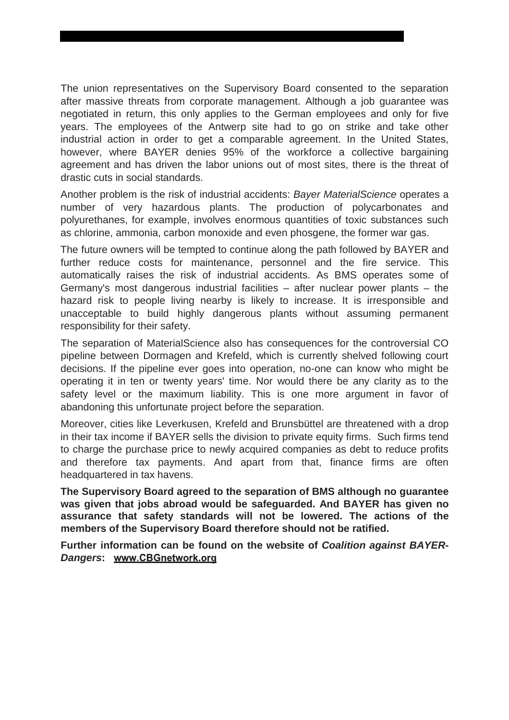The union representatives on the Supervisory Board consented to the separation after massive threats from corporate management. Although a job guarantee was negotiated in return, this only applies to the German employees and only for five years. The employees of the Antwerp site had to go on strike and take other industrial action in order to get a comparable agreement. In the United States, however, where BAYER denies 95% of the workforce a collective bargaining agreement and has driven the labor unions out of most sites, there is the threat of drastic cuts in social standards.

Another problem is the risk of industrial accidents: *Bayer MaterialScience* operates a number of very hazardous plants. The production of polycarbonates and polyurethanes, for example, involves enormous quantities of toxic substances such as chlorine, ammonia, carbon monoxide and even phosgene, the former war gas.

The future owners will be tempted to continue along the path followed by BAYER and further reduce costs for maintenance, personnel and the fire service. This automatically raises the risk of industrial accidents. As BMS operates some of Germany's most dangerous industrial facilities – after nuclear power plants – the hazard risk to people living nearby is likely to increase. It is irresponsible and unacceptable to build highly dangerous plants without assuming permanent responsibility for their safety.

The separation of MaterialScience also has consequences for the controversial CO pipeline between Dormagen and Krefeld, which is currently shelved following court decisions. If the pipeline ever goes into operation, no-one can know who might be operating it in ten or twenty years' time. Nor would there be any clarity as to the safety level or the maximum liability. This is one more argument in favor of abandoning this unfortunate project before the separation.

Moreover, cities like Leverkusen, Krefeld and Brunsbüttel are threatened with a drop in their tax income if BAYER sells the division to private equity firms. Such firms tend to charge the purchase price to newly acquired companies as debt to reduce profits and therefore tax payments. And apart from that, finance firms are often headquartered in tax havens.

**The Supervisory Board agreed to the separation of BMS although no guarantee was given that jobs abroad would be safeguarded. And BAYER has given no assurance that safety standards will not be lowered. The actions of the members of the Supervisory Board therefore should not be ratified.**

**Further information can be found on the website of** *Coalition against BAYER-***Dangers: www.CBGnetwork.org**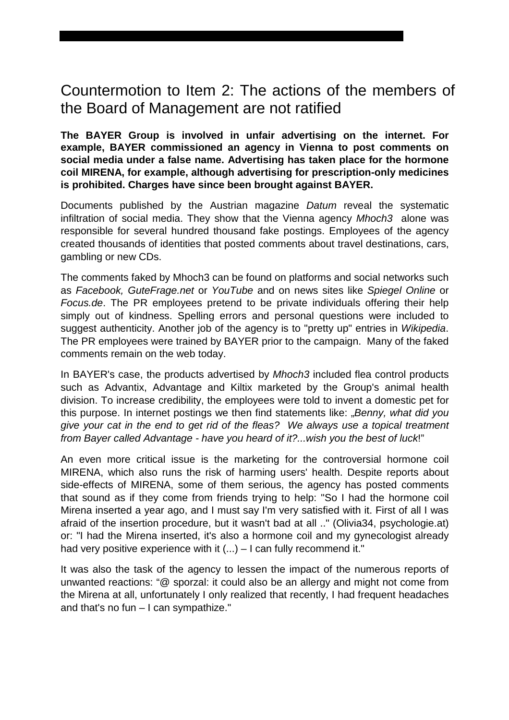### Countermotion to Item 2: The actions of the members of the Board of Management are not ratified

**The BAYER Group is involved in unfair advertising on the internet. For example, BAYER commissioned an agency in Vienna to post comments on social media under a false name. Advertising has taken place for the hormone coil MIRENA, for example, although advertising for prescription-only medicines is prohibited. Charges have since been brought against BAYER.**

Documents published by the Austrian magazine *Datum* reveal the systematic infiltration of social media. They show that the Vienna agency *Mhoch3* alone was responsible for several hundred thousand fake postings. Employees of the agency created thousands of identities that posted comments about travel destinations, cars, gambling or new CDs.

The comments faked by Mhoch3 can be found on platforms and social networks such as *Facebook, GuteFrage.net* or *YouTube* and on news sites like *Spiegel Online* or *Focus.de*. The PR employees pretend to be private individuals offering their help simply out of kindness. Spelling errors and personal questions were included to suggest authenticity. Another job of the agency is to "pretty up" entries in *Wikipedia*. The PR employees were trained by BAYER prior to the campaign. Many of the faked comments remain on the web today.

In BAYER's case, the products advertised by *Mhoch3* included flea control products such as Advantix, Advantage and Kiltix marketed by the Group's animal health division. To increase credibility, the employees were told to invent a domestic pet for this purpose. In internet postings we then find statements like: "*Benny, what did you give your cat in the end to get rid of the fleas? We always use a topical treatment from Bayer called Advantage - have you heard of it?...wish you the best of luck*!"

An even more critical issue is the marketing for the controversial hormone coil MIRENA, which also runs the risk of harming users' health. Despite reports about side-effects of MIRENA, some of them serious, the agency has posted comments that sound as if they come from friends trying to help: "So I had the hormone coil Mirena inserted a year ago, and I must say I'm very satisfied with it. First of all I was afraid of the insertion procedure, but it wasn't bad at all .." (Olivia34, psychologie.at) or: "I had the Mirena inserted, it's also a hormone coil and my gynecologist already had very positive experience with it (...) – I can fully recommend it."

It was also the task of the agency to lessen the impact of the numerous reports of unwanted reactions: "@ sporzal: it could also be an allergy and might not come from the Mirena at all, unfortunately I only realized that recently, I had frequent headaches and that's no fun – I can sympathize."